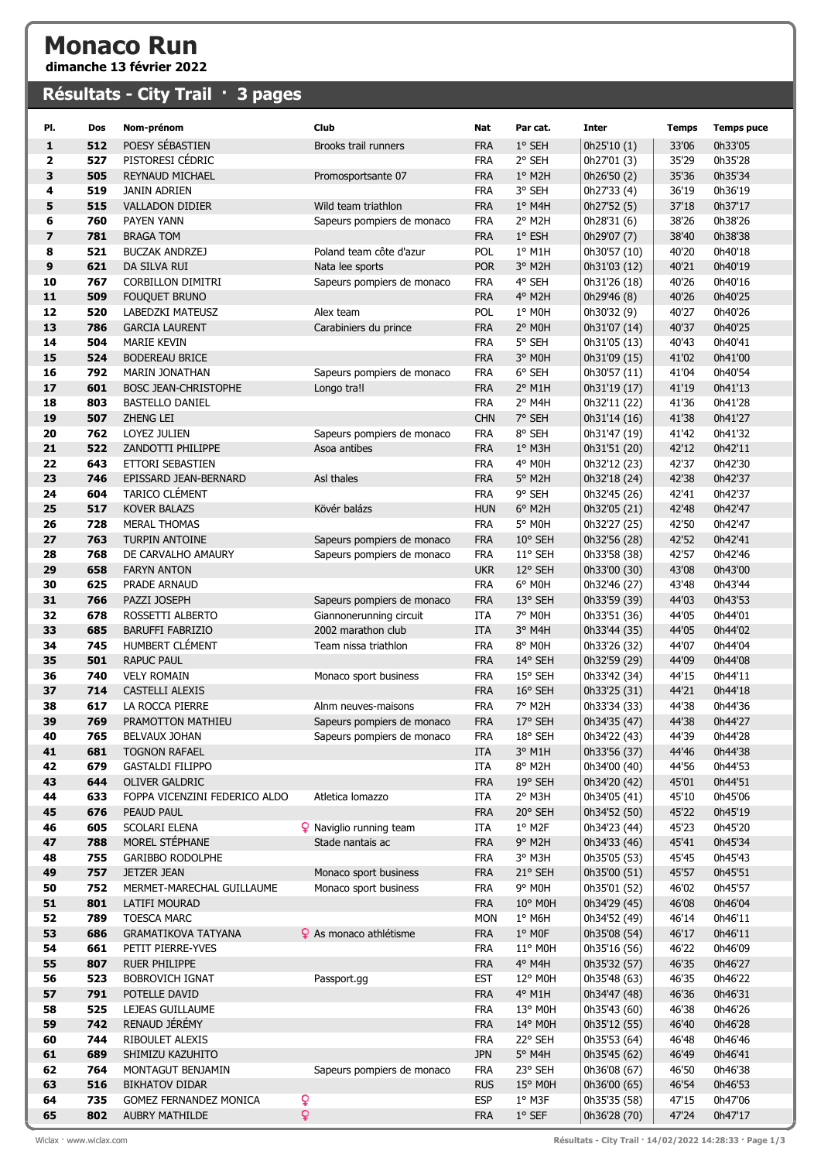## Monaco Run

dimanche 13 février 2022

## Résultats - City Trail  $\cdot$  3 pages

| PI.                     | Dos        | Nom-prénom                                  | Club                                          | Nat                      | Par cat.          | <b>Inter</b>                 | <b>Temps</b>   | <b>Temps puce</b>  |
|-------------------------|------------|---------------------------------------------|-----------------------------------------------|--------------------------|-------------------|------------------------------|----------------|--------------------|
| 1                       | 512        | POESY SÉBASTIEN                             | Brooks trail runners                          | <b>FRA</b>               | 1° SEH            | 0h25'10(1)                   | 33'06          | 0h33'05            |
| $\mathbf{2}$            | 527        | PISTORESI CÉDRIC                            |                                               | <b>FRA</b>               | 2° SEH            | 0h27'01 (3)                  | 35'29          | 0h35'28            |
| 3                       | 505        | <b>REYNAUD MICHAEL</b>                      | Promosportsante 07                            | <b>FRA</b>               | $1^\circ$ M2H     | 0h26'50 (2)                  | 35'36          | 0h35'34            |
| 4                       | 519        | <b>JANIN ADRIEN</b>                         |                                               | <b>FRA</b>               | 3° SEH            | 0h27'33 (4)                  | 36'19          | 0h36'19            |
| 5                       | 515        | <b>VALLADON DIDIER</b>                      | Wild team triathlon                           | <b>FRA</b>               | $1^\circ$ M4H     | 0h27'52 (5)                  | 37'18          | 0h37'17            |
| 6                       | 760        | PAYEN YANN                                  | Sapeurs pompiers de monaco                    | <b>FRA</b>               | 2° M2H            | 0h28'31 (6)                  | 38'26          | 0h38'26            |
| $\overline{\mathbf{z}}$ | 781        | <b>BRAGA TOM</b>                            |                                               | <b>FRA</b>               | 1° ESH            | 0h29'07 (7)                  | 38'40          | 0h38'38            |
| 8                       | 521        | <b>BUCZAK ANDRZEJ</b>                       | Poland team côte d'azur                       | <b>POL</b>               | 1° M1H            | 0h30'57 (10)                 | 40'20          | 0h40'18            |
| 9                       | 621        | DA SILVA RUI                                | Nata lee sports                               | <b>POR</b>               | 3° M2H            | 0h31'03 (12)                 | 40'21          | 0h40'19            |
| 10                      | 767        | <b>CORBILLON DIMITRI</b>                    | Sapeurs pompiers de monaco                    | <b>FRA</b>               | 4° SEH            | 0h31'26 (18)                 | 40'26          | 0h40'16            |
| 11                      | 509        | <b>FOUQUET BRUNO</b>                        |                                               | <b>FRA</b>               | 4° M2H            | 0h29'46 (8)                  | 40'26          | 0h40'25            |
| 12                      | 520        | LABEDZKI MATEUSZ                            | Alex team                                     | <b>POL</b>               | 1° MOH            | 0h30'32 (9)                  | 40'27          | 0h40'26            |
| 13                      | 786        | <b>GARCIA LAURENT</b>                       | Carabiniers du prince                         | <b>FRA</b>               | 2° MOH            | 0h31'07 (14)                 | 40'37          | 0h40'25            |
| 14                      | 504        | <b>MARIE KEVIN</b>                          |                                               | <b>FRA</b>               | 5° SEH            | 0h31'05 (13)                 | 40'43          | 0h40'41            |
| 15                      | 524        | <b>BODEREAU BRICE</b>                       |                                               | <b>FRA</b>               | 3° MOH            | 0h31'09 (15)                 | 41'02          | 0h41'00            |
| 16                      | 792        | <b>MARIN JONATHAN</b>                       | Sapeurs pompiers de monaco                    | <b>FRA</b>               | 6° SEH            | 0h30'57 (11)                 | 41'04          | 0h40'54            |
| 17                      | 601        | BOSC JEAN-CHRISTOPHE                        | Longo tra!                                    | <b>FRA</b>               | 2° M1H            | 0h31'19 (17)                 | 41'19          | 0h41'13            |
| 18                      | 803        | <b>BASTELLO DANIEL</b>                      |                                               | <b>FRA</b>               | 2° M4H            | 0h32'11 (22)                 | 41'36          | 0h41'28            |
| 19                      | 507        | ZHENG LEI                                   |                                               | <b>CHN</b>               | 7° SEH            | 0h31'14 (16)                 | 41'38          | 0h41'27            |
| 20                      | 762        | LOYEZ JULIEN                                | Sapeurs pompiers de monaco                    | <b>FRA</b>               | 8° SEH            | 0h31'47 (19)                 | 41'42          | 0h41'32            |
| 21                      | 522        | ZANDOTTI PHILIPPE                           | Asoa antibes                                  | <b>FRA</b>               | 1° M3H            | 0h31'51 (20)                 | 42'12          | 0h42'11            |
| 22                      | 643        | ETTORI SEBASTIEN                            |                                               | <b>FRA</b>               | 4° M0H            | 0h32'12 (23)                 | 42'37          | 0h42'30            |
| 23                      | 746        | EPISSARD JEAN-BERNARD                       | Asl thales                                    | <b>FRA</b>               | 5° M2H            | 0h32'18 (24)                 | 42'38          | 0h42'37            |
| 24                      | 604        | TARICO CLÉMENT                              |                                               | <b>FRA</b>               | 9° SEH            | 0h32'45 (26)                 | 42'41          | 0h42'37            |
| 25                      | 517        | <b>KOVER BALAZS</b>                         | Kövér balázs                                  | <b>HUN</b>               | 6° M2H            | 0h32'05 (21)                 | 42'48          | 0h42'47            |
| 26                      | 728        | <b>MERAL THOMAS</b>                         |                                               | <b>FRA</b>               | 5° M0H            | 0h32'27 (25)                 | 42'50          | 0h42'47            |
| 27                      | 763        | TURPIN ANTOINE                              | Sapeurs pompiers de monaco                    | <b>FRA</b>               | $10^{\circ}$ SEH  | 0h32'56 (28)                 | 42'52          | 0h42'41            |
| 28                      | 768        | DE CARVALHO AMAURY                          | Sapeurs pompiers de monaco                    | <b>FRA</b>               | 11° SEH           | 0h33'58 (38)                 | 42'57          | 0h42'46            |
| 29                      | 658        | <b>FARYN ANTON</b>                          |                                               | <b>UKR</b>               | 12° SEH           | 0h33'00 (30)                 | 43'08          | 0h43'00            |
| 30                      | 625        | PRADE ARNAUD                                |                                               | <b>FRA</b>               | 6° MOH            | 0h32'46 (27)                 | 43'48          | 0h43'44            |
| 31<br>32                | 766<br>678 | PAZZI JOSEPH                                | Sapeurs pompiers de monaco                    | <b>FRA</b>               | 13° SEH<br>7° M0H | 0h33'59 (39)                 | 44'03<br>44'05 | 0h43'53            |
| 33                      | 685        | ROSSETTI ALBERTO<br><b>BARUFFI FABRIZIO</b> | Giannonerunning circuit<br>2002 marathon club | <b>ITA</b>               |                   | 0h33'51 (36)                 |                | 0h44'01            |
| 34                      | 745        | HUMBERT CLÉMENT                             | Team nissa triathlon                          | <b>ITA</b><br><b>FRA</b> | 3° M4H<br>8° MOH  | 0h33'44 (35)<br>0h33'26 (32) | 44'05<br>44'07 | 0h44'02<br>0h44'04 |
| 35                      | 501        | <b>RAPUC PAUL</b>                           |                                               | <b>FRA</b>               | 14° SEH           | 0h32'59 (29)                 | 44'09          | 0h44'08            |
| 36                      | 740        | <b>VELY ROMAIN</b>                          | Monaco sport business                         | <b>FRA</b>               | 15° SEH           | 0h33'42 (34)                 | 44'15          | 0h44'11            |
| 37                      | 714        | CASTELLI ALEXIS                             |                                               | <b>FRA</b>               | 16° SEH           | 0h33'25 (31)                 | 44'21          | 0h44'18            |
| 38                      | 617        | LA ROCCA PIERRE                             | Alnm neuves-maisons                           | <b>FRA</b>               | 7° M2H            | 0h33'34 (33)                 | 44'38          | 0h44'36            |
| 39                      | 769        | PRAMOTTON MATHIEU                           | Sapeurs pompiers de monaco                    | <b>FRA</b>               | 17° SEH           | 0h34'35 (47)                 | 44'38          | 0h44'27            |
| 40                      | 765        | BELVAUX JOHAN                               | Sapeurs pompiers de monaco                    | <b>FRA</b>               | 18° SEH           | 0h34'22 (43)                 | 44'39          | 0h44'28            |
| 41                      | 681        | <b>TOGNON RAFAEL</b>                        |                                               | <b>ITA</b>               | 3° M1H            | 0h33'56 (37)                 | 44'46          | 0h44'38            |
| 42                      | 679        | <b>GASTALDI FILIPPO</b>                     |                                               | <b>ITA</b>               | 8° M2H            | 0h34'00 (40)                 | 44'56          | 0h44'53            |
| 43                      | 644        | OLIVER GALDRIC                              |                                               | <b>FRA</b>               | 19° SEH           | 0h34'20 (42)                 | 45'01          | 0h44'51            |
| 44                      | 633        | FOPPA VICENZINI FEDERICO ALDO               | Atletica lomazzo                              | ITA                      | 2° M3H            | 0h34'05 (41)                 | 45'10          | 0h45'06            |
| 45                      | 676        | PEAUD PAUL                                  |                                               | <b>FRA</b>               | 20° SEH           | 0h34'52 (50)                 | 45'22          | 0h45'19            |
| 46                      | 605        | SCOLARI ELENA                               | <b>9</b> Naviglio running team                | ITA                      | $1°$ M2F          | 0h34'23 (44)                 | 45'23          | 0h45'20            |
| 47                      | 788        | MOREL STÉPHANE                              | Stade nantais ac                              | <b>FRA</b>               | 9° M2H            | 0h34'33 (46)                 | 45'41          | 0h45'34            |
| 48                      | 755        | GARIBBO RODOLPHE                            |                                               | <b>FRA</b>               | 3° M3H            | 0h35'05 (53)                 | 45'45          | 0h45'43            |
| 49                      | 757        | <b>JETZER JEAN</b>                          | Monaco sport business                         | <b>FRA</b>               | 21° SEH           | 0h35'00 (51)                 | 45'57          | 0h45'51            |
| 50                      | 752        | MERMET-MARECHAL GUILLAUME                   | Monaco sport business                         | <b>FRA</b>               | 9° M0H            | 0h35'01 (52)                 | 46'02          | 0h45'57            |
| 51                      | 801        | LATIFI MOURAD                               |                                               | <b>FRA</b>               | 10° M0H           | 0h34'29 (45)                 | 46'08          | 0h46'04            |
| 52                      | 789        | <b>TOESCA MARC</b>                          |                                               | <b>MON</b>               | $1^\circ$ M6H     | 0h34'52 (49)                 | 46'14          | 0h46'11            |
| 53                      | 686        | <b>GRAMATIKOVA TATYANA</b>                  | <b>Q</b> As monaco athlétisme                 | <b>FRA</b>               | 1° MOF            | 0h35'08 (54)                 | 46'17          | 0h46'11            |
| 54                      | 661        | PETIT PIERRE-YVES                           |                                               | <b>FRA</b>               | 11° M0H           | 0h35'16 (56)                 | 46'22          | 0h46'09            |
| 55                      | 807        | <b>RUER PHILIPPE</b>                        |                                               | <b>FRA</b>               | 4° M4H            | 0h35'32 (57)                 | 46'35          | 0h46'27            |
| 56                      | 523        | <b>BOBROVICH IGNAT</b>                      | Passport.gg                                   | <b>EST</b>               | 12° M0H           | 0h35'48 (63)                 | 46'35          | 0h46'22            |
| 57                      | 791        | POTELLE DAVID                               |                                               | <b>FRA</b>               | 4° M1H            | 0h34'47 (48)                 | 46'36          | 0h46'31            |
| 58                      | 525        | LEJEAS GUILLAUME                            |                                               | <b>FRA</b>               | 13° M0H           | 0h35'43 (60)                 | 46'38          | 0h46'26            |
| 59                      | 742        | RENAUD JÉRÉMY                               |                                               | <b>FRA</b>               | 14° M0H           | 0h35'12 (55)                 | 46'40          | 0h46'28            |
| 60                      | 744        | RIBOULET ALEXIS                             |                                               | <b>FRA</b>               | 22° SEH           | 0h35'53 (64)                 | 46'48          | 0h46'46            |
| 61<br>62                | 689<br>764 | SHIMIZU KAZUHITO<br>MONTAGUT BENJAMIN       | Sapeurs pompiers de monaco                    | <b>JPN</b><br><b>FRA</b> | 5° M4H<br>23° SEH | 0h35'45 (62)<br>0h36'08 (67) | 46'49<br>46'50 | 0h46'41<br>0h46'38 |
| 63                      | 516        | <b>BIKHATOV DIDAR</b>                       |                                               | <b>RUS</b>               | 15° M0H           | 0h36'00 (65)                 | 46'54          | 0h46'53            |
| 64                      | 735        | GOMEZ FERNANDEZ MONICA                      | ¥                                             | <b>ESP</b>               | 1° M3F            | 0h35'35 (58)                 | 47'15          | 0h47'06            |
| 65                      | 802        | <b>AUBRY MATHILDE</b>                       | ò                                             | <b>FRA</b>               | $1°$ SEF          | 0h36'28 (70)                 | 47'24          | 0h47'17            |
|                         |            |                                             |                                               |                          |                   |                              |                |                    |

Wiclax · www.wiclax.com **Résultats - City Trail · 14/02/2022 14:28:33 · Page 1/3**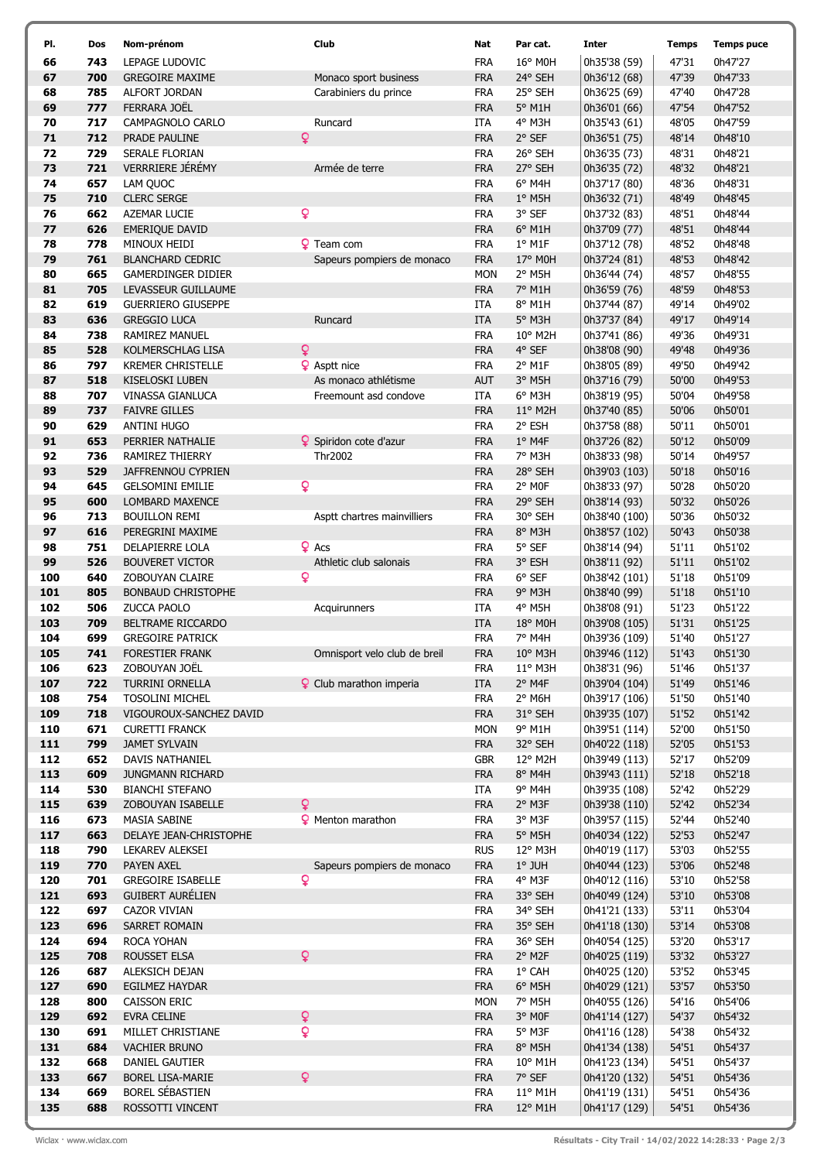| PI.        | Dos        | Nom-prénom                                          | Club                           | Nat                      | Par cat.           | Inter                          | <b>Temps</b>   | <b>Temps puce</b>  |
|------------|------------|-----------------------------------------------------|--------------------------------|--------------------------|--------------------|--------------------------------|----------------|--------------------|
| 66         | 743        | LEPAGE LUDOVIC                                      |                                | <b>FRA</b>               | 16° M0H            | 0h35'38 (59)                   | 47'31          | 0h47'27            |
| 67         | 700        | <b>GREGOIRE MAXIME</b>                              | Monaco sport business          | <b>FRA</b>               | 24° SEH            | 0h36'12 (68)                   | 47'39          | 0h47'33            |
| 68         | 785        | ALFORT JORDAN                                       | Carabiniers du prince          | <b>FRA</b>               | 25° SEH            | 0h36'25 (69)                   | 47'40          | 0h47'28            |
| 69         | 777        | FERRARA JOËL                                        |                                | <b>FRA</b>               | 5° M1H             | 0h36'01 (66)                   | 47'54          | 0h47'52            |
| 70         | 717        | CAMPAGNOLO CARLO                                    | Runcard                        | ITA                      | 4° M3H             | 0h35'43 (61)                   | 48'05          | 0h47'59            |
| 71         | 712        | PRADE PAULINE                                       | ò                              | <b>FRA</b>               | 2° SEF             | 0h36'51 (75)                   | 48'14          | 0h48'10            |
| 72         | 729        | SERALE FLORIAN                                      |                                | FRA                      | 26° SEH            | 0h36'35 (73)                   | 48'31          | 0h48'21            |
| 73         | 721        | VERRRIERE JÉRÉMY                                    | Armée de terre                 | <b>FRA</b>               | 27° SEH            | 0h36'35 (72)                   | 48'32          | 0h48'21            |
| 74         | 657        | LAM QUOC                                            |                                | <b>FRA</b>               | 6° M4H             | 0h37'17 (80)                   | 48'36          | 0h48'31            |
| 75         | 710        | <b>CLERC SERGE</b>                                  |                                | <b>FRA</b>               | $1°$ M5H           | 0h36'32 (71)                   | 48'49          | 0h48'45            |
| 76         | 662        | AZEMAR LUCIE                                        | Q                              | <b>FRA</b>               | 3° SEF             | 0h37'32 (83)                   | 48'51          | 0h48'44            |
| 77         | 626        | <b>EMERIQUE DAVID</b>                               |                                | <b>FRA</b>               | 6° M1H             | 0h37'09 (77)                   | 48'51          | 0h48'44            |
| 78<br>79   | 778<br>761 | MINOUX HEIDI<br><b>BLANCHARD CEDRIC</b>             | <b>Q</b> Team com              | <b>FRA</b><br><b>FRA</b> | $1°$ M1F           | 0h37'12 (78)                   | 48'52<br>48'53 | 0h48'48<br>0h48'42 |
| 80         | 665        | GAMERDINGER DIDIER                                  | Sapeurs pompiers de monaco     | <b>MON</b>               | 17° M0H<br>2° M5H  | 0h37'24 (81)<br>0h36'44 (74)   | 48'57          | 0h48'55            |
| 81         | 705        | LEVASSEUR GUILLAUME                                 |                                | <b>FRA</b>               | 7° M1H             | 0h36'59 (76)                   | 48'59          | 0h48'53            |
| 82         | 619        | <b>GUERRIERO GIUSEPPE</b>                           |                                | ITA                      | 8° M1H             | 0h37'44 (87)                   | 49'14          | 0h49'02            |
| 83         | 636        | <b>GREGGIO LUCA</b>                                 | Runcard                        | <b>ITA</b>               | 5° M3H             | 0h37'37 (84)                   | 49'17          | 0h49'14            |
| 84         | 738        | <b>RAMIREZ MANUEL</b>                               |                                | <b>FRA</b>               | 10° M2H            | 0h37'41 (86)                   | 49'36          | 0h49'31            |
| 85         | 528        | KOLMERSCHLAG LISA                                   | $\mathsf{Q}$                   | <b>FRA</b>               | 4° SEF             | 0h38'08 (90)                   | 49'48          | 0h49'36            |
| 86         | 797        | <b>KREMER CHRISTELLE</b>                            | <b>Q</b> Asptt nice            | <b>FRA</b>               | 2° M1F             | 0h38'05 (89)                   | 49'50          | 0h49'42            |
| 87         | 518        | <b>KISELOSKI LUBEN</b>                              | As monaco athlétisme           | <b>AUT</b>               | 3° M5H             | 0h37'16 (79)                   | 50'00          | 0h49'53            |
| 88         | 707        | VINASSA GIANLUCA                                    | Freemount asd condove          | ITA                      | 6° M3H             | 0h38'19 (95)                   | 50'04          | 0h49'58            |
| 89         | 737        | <b>FAIVRE GILLES</b>                                |                                | <b>FRA</b>               | 11° M2H            | 0h37'40 (85)                   | 50'06          | 0h50'01            |
| 90         | 629        | <b>ANTINI HUGO</b>                                  |                                | <b>FRA</b>               | 2° ESH             | 0h37'58 (88)                   | 50'11          | 0h50'01            |
| 91         | 653        | PERRIER NATHALIE                                    | <b>9</b> Spiridon cote d'azur  | <b>FRA</b>               | $1°$ M4F           | 0h37'26 (82)                   | 50'12          | 0h50'09            |
| 92         | 736        | RAMIREZ THIERRY                                     | Thr2002                        | <b>FRA</b>               | 7° M3H             | 0h38'33 (98)                   | 50'14          | 0h49'57            |
| 93         | 529        | JAFFRENNOU CYPRIEN                                  |                                | <b>FRA</b>               | 28° SEH            | 0h39'03 (103)                  | 50'18          | 0h50'16            |
| 94         | 645        | <b>GELSOMINI EMILIE</b>                             | Q                              | <b>FRA</b>               | 2° MOF             | 0h38'33 (97)                   | 50'28          | 0h50'20            |
| 95         | 600        | LOMBARD MAXENCE                                     |                                | <b>FRA</b>               | 29° SEH            | 0h38'14 (93)                   | 50'32          | 0h50'26            |
| 96         | 713        | <b>BOUILLON REMI</b>                                | Asptt chartres mainvilliers    | <b>FRA</b>               | 30° SEH            | 0h38'40 (100)                  | 50'36          | 0h50'32            |
| 97         | 616        | PEREGRINI MAXIME                                    |                                | <b>FRA</b>               | 8° M3H             | 0h38'57 (102)                  | 50'43          | 0h50'38            |
| 98         | 751        | DELAPIERRE LOLA                                     | $Q$ Acs                        | <b>FRA</b>               | 5° SEF             | 0h38'14 (94)                   | 51'11          | 0h51'02            |
| 99         | 526        | <b>BOUVERET VICTOR</b>                              | Athletic club salonais         | <b>FRA</b>               | 3° ESH             | 0h38'11 (92)                   | 51'11          | 0h51'02            |
| 100        | 640        | ZOBOUYAN CLAIRE                                     | ò                              | <b>FRA</b>               | $6°$ SEF           | 0h38'42 (101)                  | 51'18          | 0h51'09            |
| 101        | 805        | <b>BONBAUD CHRISTOPHE</b>                           |                                | <b>FRA</b>               | 9° M3H             | 0h38'40 (99)                   | 51'18          | 0h51'10            |
| 102<br>103 | 506<br>709 | <b>ZUCCA PAOLO</b><br>BELTRAME RICCARDO             | Acquirunners                   | ITA<br><b>ITA</b>        | 4° M5H<br>18° M0H  | 0h38'08 (91)                   | 51'23<br>51'31 | 0h51'22<br>0h51'25 |
| 104        | 699        | <b>GREGOIRE PATRICK</b>                             |                                | <b>FRA</b>               | 7° M4H             | 0h39'08 (105)<br>0h39'36 (109) | 51'40          | 0h51'27            |
| 105        | 741        | FORESTIER FRANK                                     | Omnisport velo club de breil   | <b>FRA</b>               | 10° M3H            | 0h39'46 (112)                  | 51'43          | 0h51'30            |
| 106        | 623        | ZOBOUYAN JOËL                                       |                                | <b>FRA</b>               | 11° M3H            | 0h38'31 (96)                   | 51'46          | 0h51'37            |
| 107        | 722        | TURRINI ORNELLA                                     | <b>Q</b> Club marathon imperia | <b>ITA</b>               | $2°$ M4F           | 0h39'04 (104)                  | 51'49          | 0h51'46            |
| 108        | 754        | <b>TOSOLINI MICHEL</b>                              |                                | <b>FRA</b>               | 2° M6H             | 0h39'17 (106)                  | 51'50          | 0h51'40            |
| 109        | 718        | VIGOUROUX-SANCHEZ DAVID                             |                                | <b>FRA</b>               | 31° SEH            | 0h39'35 (107)                  | 51'52          | 0h51'42            |
| 110        | 671        | <b>CURETTI FRANCK</b>                               |                                | <b>MON</b>               | 9° M1H             | 0h39'51 (114)                  | 52'00          | 0h51'50            |
| 111        | 799        | <b>JAMET SYLVAIN</b>                                |                                | <b>FRA</b>               | 32° SEH            | 0h40'22 (118)                  | 52'05          | 0h51'53            |
| 112        | 652        | DAVIS NATHANIEL                                     |                                | <b>GBR</b>               | 12° M2H            | 0h39'49 (113)                  | 52'17          | 0h52'09            |
| 113        | 609        | <b>JUNGMANN RICHARD</b>                             |                                | <b>FRA</b>               | 8° M4H             | 0h39'43 (111)                  | 52'18          | 0h52'18            |
| 114        | 530        | <b>BIANCHI STEFANO</b>                              |                                | ITA                      | 9° M4H             | 0h39'35 (108)                  | 52'42          | 0h52'29            |
| 115        | 639        | ZOBOUYAN ISABELLE                                   | Q                              | <b>FRA</b>               | 2° M3F             | 0h39'38 (110)                  | 52'42          | 0h52'34            |
| 116        | 673        | <b>MASIA SABINE</b>                                 | <b>9</b> Menton marathon       | <b>FRA</b>               | 3° M3F             | 0h39'57 (115)                  | 52'44          | 0h52'40            |
| 117        | 663        | DELAYE JEAN-CHRISTOPHE                              |                                | <b>FRA</b>               | 5° M5H             | 0h40'34 (122)                  | 52'53          | 0h52'47            |
| 118        | 790        | LEKAREV ALEKSEI                                     |                                | <b>RUS</b>               | 12° M3H            | 0h40'19 (117)                  | 53'03          | 0h52'55            |
| 119        | 770        | PAYEN AXEL                                          | Sapeurs pompiers de monaco     | <b>FRA</b>               | $1°$ JUH           | 0h40'44 (123)                  | 53'06          | 0h52'48            |
| 120        | 701        | <b>GREGOIRE ISABELLE</b><br><b>GUIBERT AURÉLIEN</b> | $\mathbf{Q}$                   | <b>FRA</b>               | 4° M3F             | 0h40'12 (116)                  | 53'10          | 0h52'58            |
| 121<br>122 | 693<br>697 | <b>CAZOR VIVIAN</b>                                 |                                | <b>FRA</b><br><b>FRA</b> | 33° SEH<br>34° SEH | 0h40'49 (124)<br>0h41'21 (133) | 53'10<br>53'11 | 0h53'08<br>0h53'04 |
| 123        | 696        | <b>SARRET ROMAIN</b>                                |                                | <b>FRA</b>               | 35° SEH            | 0h41'18 (130)                  | 53'14          | 0h53'08            |
| 124        | 694        | ROCA YOHAN                                          |                                | <b>FRA</b>               | 36° SEH            | 0h40'54 (125)                  | 53'20          | 0h53'17            |
| 125        | 708        | ROUSSET ELSA                                        | $\mathsf{Q}$                   | <b>FRA</b>               | 2° M2F             | 0h40'25 (119)                  | 53'32          | 0h53'27            |
| 126        | 687        | ALEKSICH DEJAN                                      |                                | <b>FRA</b>               | 1° CAH             | 0h40'25 (120)                  | 53'52          | 0h53'45            |
| 127        | 690        | EGILMEZ HAYDAR                                      |                                | <b>FRA</b>               | $6^{\circ}$ M5H    | 0h40'29 (121)                  | 53'57          | 0h53'50            |
| 128        | 800        | CAISSON ERIC                                        |                                | <b>MON</b>               | 7° M5H             | 0h40'55 (126)                  | 54'16          | 0h54'06            |
| 129        | 692        | EVRA CELINE                                         | ò                              | <b>FRA</b>               | 3° MOF             | 0h41'14 (127)                  | 54'37          | 0h54'32            |
| 130        | 691        | MILLET CHRISTIANE                                   | Q                              | <b>FRA</b>               | 5° M3F             | 0h41'16 (128)                  | 54'38          | 0h54'32            |
| 131        | 684        | VACHIER BRUNO                                       |                                | <b>FRA</b>               | 8° M5H             | 0h41'34 (138)                  | 54'51          | 0h54'37            |
| 132        | 668        | DANIEL GAUTIER                                      |                                | <b>FRA</b>               | 10° M1H            | 0h41'23 (134)                  | 54'51          | 0h54'37            |
| 133        | 667        | <b>BOREL LISA-MARIE</b>                             | $\overline{Q}$                 | <b>FRA</b>               | 7° SEF             | 0h41'20 (132)                  | 54'51          | 0h54'36            |
| 134        | 669        | BOREL SÉBASTIEN                                     |                                | <b>FRA</b>               | 11° M1H            | 0h41'19 (131)                  | 54'51          | 0h54'36            |
| 135        | 688        | ROSSOTTI VINCENT                                    |                                | <b>FRA</b>               | 12° M1H            | 0h41'17 (129)                  | 54'51          | 0h54'36            |